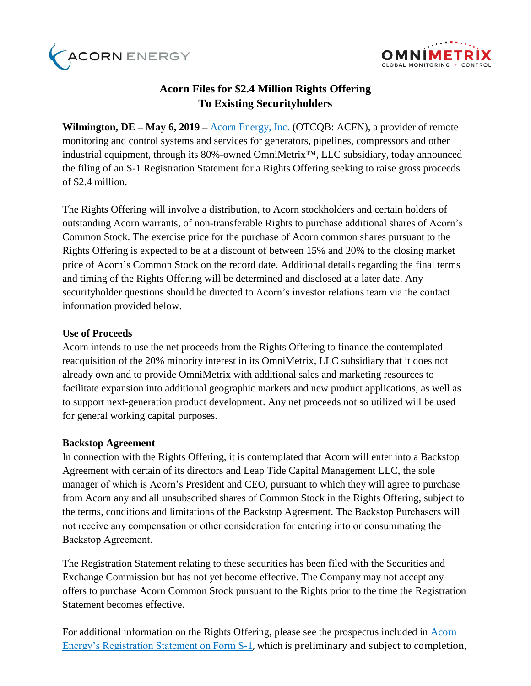



# **Acorn Files for \$2.4 Million Rights Offering To Existing Securityholders**

**Wilmington, DE – May 6, 2019 –** [Acorn Energy, Inc.](http://acornenergy.com/) (OTCQB: ACFN), a provider of remote monitoring and control systems and services for generators, pipelines, compressors and other industrial equipment, through its 80%-owned OmniMetrix™, LLC subsidiary, today announced the filing of an S-1 Registration Statement for a Rights Offering seeking to raise gross proceeds of \$2.4 million.

The Rights Offering will involve a distribution, to Acorn stockholders and certain holders of outstanding Acorn warrants, of non-transferable Rights to purchase additional shares of Acorn's Common Stock. The exercise price for the purchase of Acorn common shares pursuant to the Rights Offering is expected to be at a discount of between 15% and 20% to the closing market price of Acorn's Common Stock on the record date. Additional details regarding the final terms and timing of the Rights Offering will be determined and disclosed at a later date. Any securityholder questions should be directed to Acorn's investor relations team via the contact information provided below.

# **Use of Proceeds**

Acorn intends to use the net proceeds from the Rights Offering to finance the contemplated reacquisition of the 20% minority interest in its OmniMetrix, LLC subsidiary that it does not already own and to provide OmniMetrix with additional sales and marketing resources to facilitate expansion into additional geographic markets and new product applications, as well as to support next-generation product development. Any net proceeds not so utilized will be used for general working capital purposes.

## **Backstop Agreement**

In connection with the Rights Offering, it is contemplated that Acorn will enter into a Backstop Agreement with certain of its directors and Leap Tide Capital Management LLC, the sole manager of which is Acorn's President and CEO, pursuant to which they will agree to purchase from Acorn any and all unsubscribed shares of Common Stock in the Rights Offering, subject to the terms, conditions and limitations of the Backstop Agreement. The Backstop Purchasers will not receive any compensation or other consideration for entering into or consummating the Backstop Agreement.

The Registration Statement relating to these securities has been filed with the Securities and Exchange Commission but has not yet become effective. The Company may not accept any offers to purchase Acorn Common Stock pursuant to the Rights prior to the time the Registration Statement becomes effective.

For additional information on the Rights Offering, please see the prospectus included in Acorn [Energy's Registration Statement on Form S-1](https://www.sec.gov/Archives/edgar/data/880984/000149315219006380/forms-1.htm), which is preliminary and subject to completion,